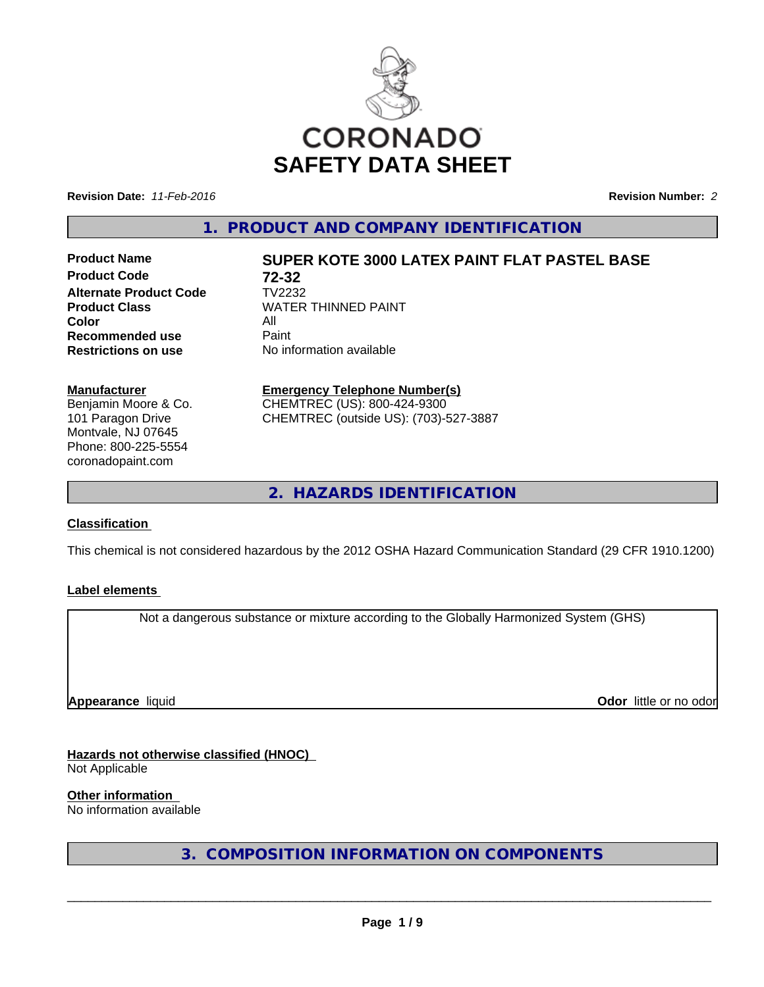

**Revision Date:** *11-Feb-2016* **Revision Number:** *2*

**1. PRODUCT AND COMPANY IDENTIFICATION**

**Product Code 72-32 Alternate Product Code** TV2232 **Color Recommended use** Paint<br> **Restrictions on use** No inf

# **Product Name SUPER KOTE 3000 LATEX PAINT FLAT PASTEL BASE**

**Product Class** WATER THINNED PAINT<br>Color **No information available** 

#### **Manufacturer**

Benjamin Moore & Co. 101 Paragon Drive Montvale, NJ 07645 Phone: 800-225-5554 coronadopaint.com

# **Emergency Telephone Number(s)**

CHEMTREC (US): 800-424-9300 CHEMTREC (outside US): (703)-527-3887

**2. HAZARDS IDENTIFICATION**

# **Classification**

This chemical is not considered hazardous by the 2012 OSHA Hazard Communication Standard (29 CFR 1910.1200)

### **Label elements**

Not a dangerous substance or mixture according to the Globally Harmonized System (GHS)

**Appearance** liquid

**Odor** little or no odor

**Hazards not otherwise classified (HNOC)** Not Applicable

**Other information**

No information available

**3. COMPOSITION INFORMATION ON COMPONENTS**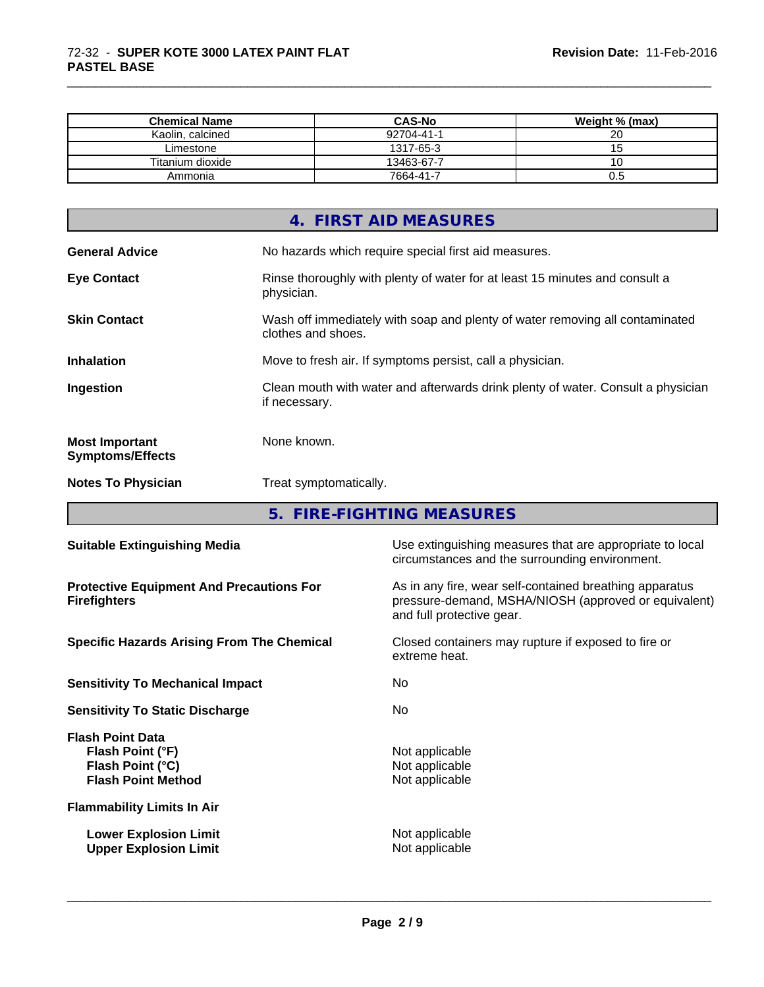| <b>Chemical Name</b> | <b>CAS-No</b> | Weight % (max) |  |
|----------------------|---------------|----------------|--|
| Kaolin, calcined     | 92704-41-1    | 20             |  |
| Limestone            | 1317-65-3     |                |  |
| Titanium dioxide     | 13463-67-7    |                |  |
| Ammonia              | 7664-41-7     | c.u            |  |

\_\_\_\_\_\_\_\_\_\_\_\_\_\_\_\_\_\_\_\_\_\_\_\_\_\_\_\_\_\_\_\_\_\_\_\_\_\_\_\_\_\_\_\_\_\_\_\_\_\_\_\_\_\_\_\_\_\_\_\_\_\_\_\_\_\_\_\_\_\_\_\_\_\_\_\_\_\_\_\_\_\_\_\_\_\_\_\_\_\_\_\_\_

| 4. FIRST AID MEASURES<br><b>General Advice</b><br>No hazards which require special first aid measures.<br><b>Eye Contact</b><br>Rinse thoroughly with plenty of water for at least 15 minutes and consult a<br>physician.<br>Wash off immediately with soap and plenty of water removing all contaminated<br><b>Skin Contact</b><br>clothes and shoes.<br><b>Inhalation</b><br>Move to fresh air. If symptoms persist, call a physician. |
|------------------------------------------------------------------------------------------------------------------------------------------------------------------------------------------------------------------------------------------------------------------------------------------------------------------------------------------------------------------------------------------------------------------------------------------|
|                                                                                                                                                                                                                                                                                                                                                                                                                                          |
|                                                                                                                                                                                                                                                                                                                                                                                                                                          |
|                                                                                                                                                                                                                                                                                                                                                                                                                                          |
|                                                                                                                                                                                                                                                                                                                                                                                                                                          |
|                                                                                                                                                                                                                                                                                                                                                                                                                                          |
| Clean mouth with water and afterwards drink plenty of water. Consult a physician<br>Ingestion<br>if necessary.                                                                                                                                                                                                                                                                                                                           |
| None known.<br><b>Most Important</b><br><b>Symptoms/Effects</b>                                                                                                                                                                                                                                                                                                                                                                          |
| Treat symptomatically.<br><b>Notes To Physician</b>                                                                                                                                                                                                                                                                                                                                                                                      |

**5. FIRE-FIGHTING MEASURES**

| <b>Suitable Extinguishing Media</b>                                                          | Use extinguishing measures that are appropriate to local<br>circumstances and the surrounding environment.                                   |
|----------------------------------------------------------------------------------------------|----------------------------------------------------------------------------------------------------------------------------------------------|
| <b>Protective Equipment And Precautions For</b><br><b>Firefighters</b>                       | As in any fire, wear self-contained breathing apparatus<br>pressure-demand, MSHA/NIOSH (approved or equivalent)<br>and full protective gear. |
| <b>Specific Hazards Arising From The Chemical</b>                                            | Closed containers may rupture if exposed to fire or<br>extreme heat.                                                                         |
| <b>Sensitivity To Mechanical Impact</b>                                                      | No.                                                                                                                                          |
| <b>Sensitivity To Static Discharge</b>                                                       | No.                                                                                                                                          |
| <b>Flash Point Data</b><br>Flash Point (°F)<br>Flash Point (°C)<br><b>Flash Point Method</b> | Not applicable<br>Not applicable<br>Not applicable                                                                                           |
| <b>Flammability Limits In Air</b>                                                            |                                                                                                                                              |
| <b>Lower Explosion Limit</b><br><b>Upper Explosion Limit</b>                                 | Not applicable<br>Not applicable                                                                                                             |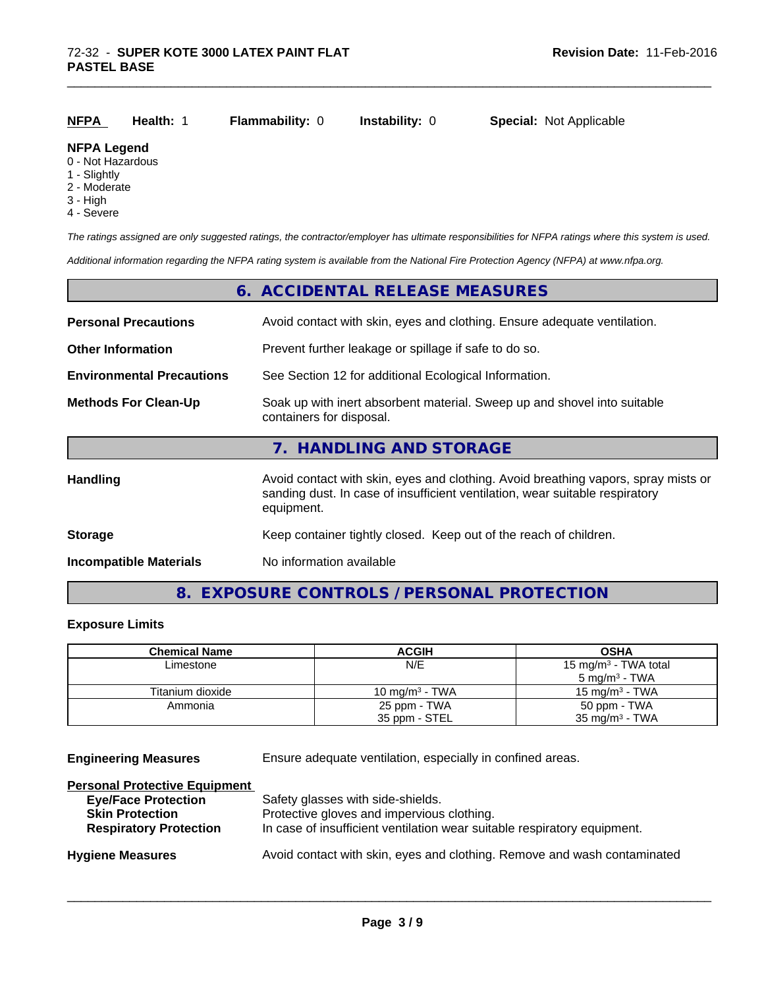| <b>NFPA</b> | Health: 1 | <b>Flammability: 0</b> | Instability: 0 | <b>Special: Not Applicable</b> |  |
|-------------|-----------|------------------------|----------------|--------------------------------|--|
|-------------|-----------|------------------------|----------------|--------------------------------|--|

#### **NFPA Legend**

- 0 Not Hazardous
- 1 Slightly
- 2 Moderate
- 3 High
- 4 Severe

*The ratings assigned are only suggested ratings, the contractor/employer has ultimate responsibilities for NFPA ratings where this system is used.*

\_\_\_\_\_\_\_\_\_\_\_\_\_\_\_\_\_\_\_\_\_\_\_\_\_\_\_\_\_\_\_\_\_\_\_\_\_\_\_\_\_\_\_\_\_\_\_\_\_\_\_\_\_\_\_\_\_\_\_\_\_\_\_\_\_\_\_\_\_\_\_\_\_\_\_\_\_\_\_\_\_\_\_\_\_\_\_\_\_\_\_\_\_

*Additional information regarding the NFPA rating system is available from the National Fire Protection Agency (NFPA) at www.nfpa.org.*

|                                  | 6. ACCIDENTAL RELEASE MEASURES                                                                                                                                                   |
|----------------------------------|----------------------------------------------------------------------------------------------------------------------------------------------------------------------------------|
| <b>Personal Precautions</b>      | Avoid contact with skin, eyes and clothing. Ensure adequate ventilation.                                                                                                         |
| <b>Other Information</b>         | Prevent further leakage or spillage if safe to do so.                                                                                                                            |
| <b>Environmental Precautions</b> | See Section 12 for additional Ecological Information.                                                                                                                            |
| <b>Methods For Clean-Up</b>      | Soak up with inert absorbent material. Sweep up and shovel into suitable<br>containers for disposal.                                                                             |
|                                  | 7. HANDLING AND STORAGE                                                                                                                                                          |
| <b>Handling</b>                  | Avoid contact with skin, eyes and clothing. Avoid breathing vapors, spray mists or<br>sanding dust. In case of insufficient ventilation, wear suitable respiratory<br>equipment. |
| <b>Storage</b>                   | Keep container tightly closed. Keep out of the reach of children.                                                                                                                |
| <b>Incompatible Materials</b>    | No information available                                                                                                                                                         |

# **8. EXPOSURE CONTROLS / PERSONAL PROTECTION**

# **Exposure Limits**

| <b>Chemical Name</b> | <b>ACGIH</b>      | <b>OSHA</b>                      |
|----------------------|-------------------|----------------------------------|
| Limestone            | N/E               | 15 mg/m <sup>3</sup> - TWA total |
|                      |                   | $5 \text{ mg/m}^3$ - TWA         |
| Titanium dioxide     | 10 mg/m $3$ - TWA | 15 mg/m <sup>3</sup> - TWA       |
| Ammonia              | 25 ppm - TWA      | 50 ppm - TWA                     |
|                      | 35 ppm - STEL     | 35 mg/m $3$ - TWA                |

**Engineering Measures** Ensure adequate ventilation, especially in confined areas.

| Safety glasses with side-shields.                                        |
|--------------------------------------------------------------------------|
| Protective gloves and impervious clothing.                               |
| In case of insufficient ventilation wear suitable respiratory equipment. |
| Avoid contact with skin, eyes and clothing. Remove and wash contaminated |
|                                                                          |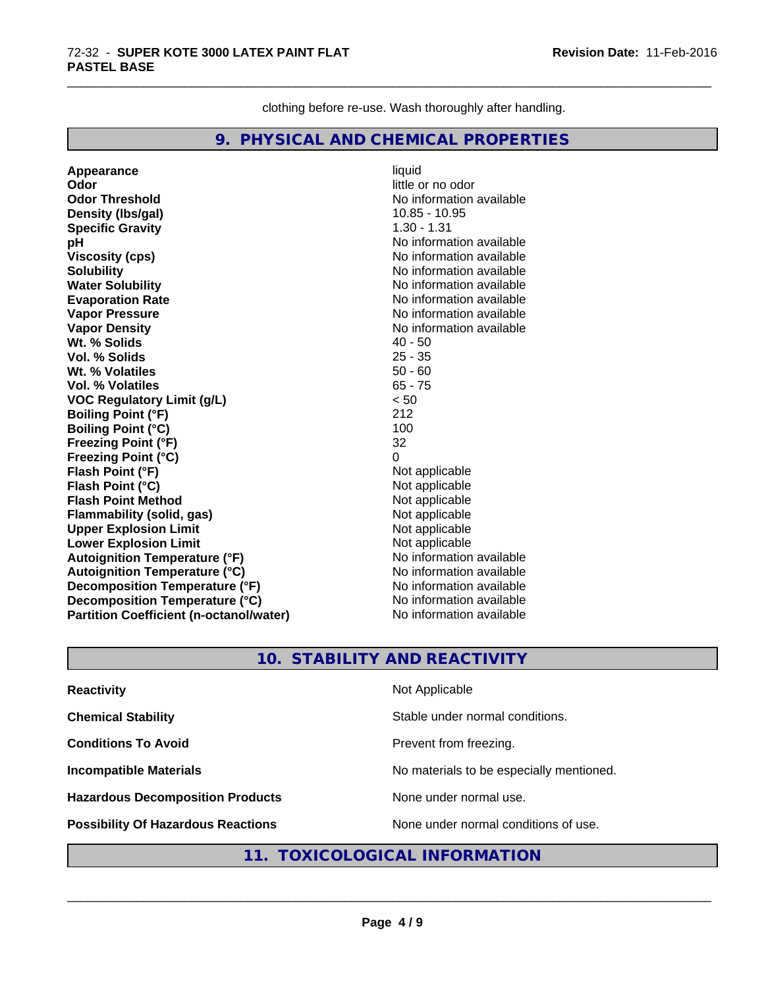clothing before re-use. Wash thoroughly after handling.

\_\_\_\_\_\_\_\_\_\_\_\_\_\_\_\_\_\_\_\_\_\_\_\_\_\_\_\_\_\_\_\_\_\_\_\_\_\_\_\_\_\_\_\_\_\_\_\_\_\_\_\_\_\_\_\_\_\_\_\_\_\_\_\_\_\_\_\_\_\_\_\_\_\_\_\_\_\_\_\_\_\_\_\_\_\_\_\_\_\_\_\_\_

# **9. PHYSICAL AND CHEMICAL PROPERTIES**

**Appearance** liquid **Odor**<br> **Odor Threshold**<br> **Odor Threshold**<br> **Odor Threshold**<br> **Odor Density (Ibs/gal)** 10.85 - 10.95 **Specific Gravity** 1.30 - 1.31 **pH pH**  $\blacksquare$ **Viscosity (cps)** No information available Notice 1, 1999 **Solubility** No information available **Water Solubility No information available No information available Evaporation Rate** Note 2008 and 2009 No information available **Vapor Pressure** No information available **Vapor Density No information available No information available Wt. % Solids** 40 - 50 **Vol. % Solids Wt. % Volatiles** 50 - 60 **Vol. % Volatiles** 65 - 75 **VOC Regulatory Limit (g/L)** < 50 **Boiling Point (°F)** 212 **Boiling Point (°C)** 100 **Freezing Point (°F)** 32 **Freezing Point (°C)** 0 **Flash Point (°F)** Not applicable **Flash Point (°C)**<br> **Flash Point Method**<br> **Flash Point Method**<br> **Point Method**<br> **Point Method**<br> **Point Method Flash Point Method**<br> **Flammability (solid, gas)**<br>
Not applicable<br>
Not applicable **Flammability** (solid, gas) **Upper Explosion Limit** Not applicable **Lower Explosion Limit**<br> **Autoignition Temperature (°F)**<br> **Autoignition Temperature (°F)**<br> **Autoignition Temperature (°F) Autoignition Temperature (°F) Autoignition Temperature (°C)** No information available **Decomposition Temperature (°F)** No information available **Decomposition Temperature (°C)** No information available **Partition Coefficient (n-octanol/water)** No information available

**No information available** 

# **10. STABILITY AND REACTIVITY**

| <b>Reactivity</b>                         | Not Applicable                           |
|-------------------------------------------|------------------------------------------|
| <b>Chemical Stability</b>                 | Stable under normal conditions.          |
| <b>Conditions To Avoid</b>                | Prevent from freezing.                   |
| <b>Incompatible Materials</b>             | No materials to be especially mentioned. |
| <b>Hazardous Decomposition Products</b>   | None under normal use.                   |
| <b>Possibility Of Hazardous Reactions</b> | None under normal conditions of use.     |

# **11. TOXICOLOGICAL INFORMATION**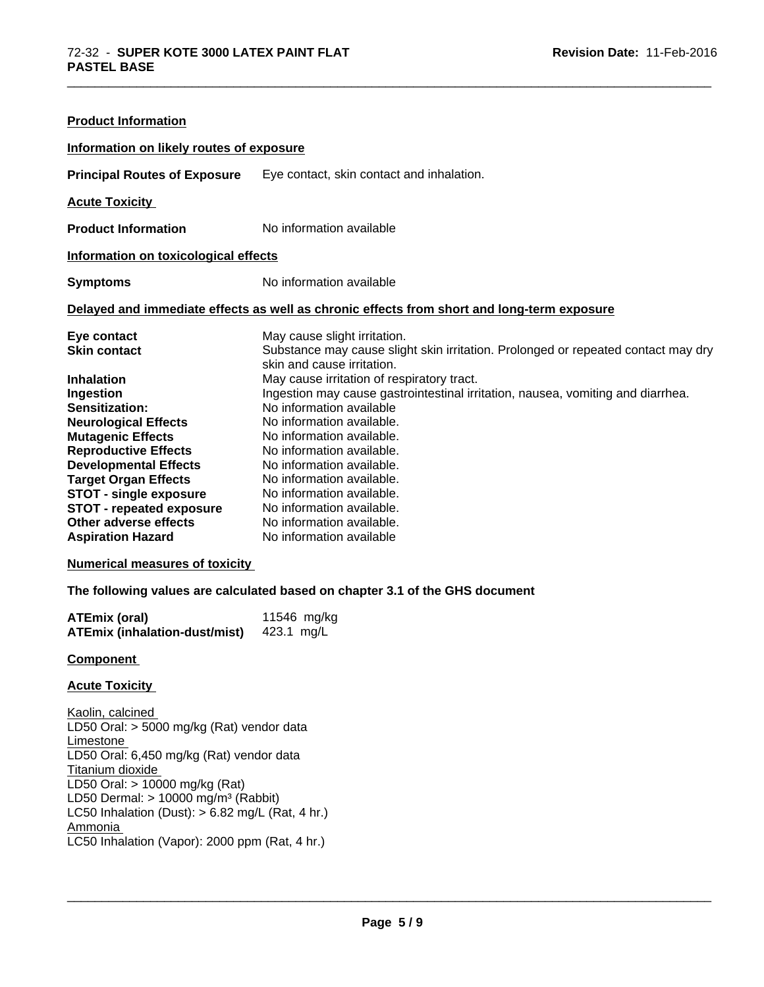| <b>Product Information</b>               |                                                                                                                 |
|------------------------------------------|-----------------------------------------------------------------------------------------------------------------|
| Information on likely routes of exposure |                                                                                                                 |
| <b>Principal Routes of Exposure</b>      | Eye contact, skin contact and inhalation.                                                                       |
| <b>Acute Toxicity</b>                    |                                                                                                                 |
| <b>Product Information</b>               | No information available                                                                                        |
| Information on toxicological effects     |                                                                                                                 |
| <b>Symptoms</b>                          | No information available                                                                                        |
|                                          | Delayed and immediate effects as well as chronic effects from short and long-term exposure                      |
| Eye contact                              | May cause slight irritation.                                                                                    |
| <b>Skin contact</b>                      | Substance may cause slight skin irritation. Prolonged or repeated contact may dry<br>skin and cause irritation. |
| <b>Inhalation</b>                        | May cause irritation of respiratory tract.                                                                      |
| Ingestion                                | Ingestion may cause gastrointestinal irritation, nausea, vomiting and diarrhea.                                 |
| Sensitization:                           | No information available                                                                                        |
| <b>Neurological Effects</b>              | No information available.                                                                                       |
| <b>Mutagenic Effects</b>                 | No information available.                                                                                       |
| <b>Reproductive Effects</b>              | No information available.                                                                                       |
| <b>Developmental Effects</b>             | No information available.                                                                                       |
| <b>Target Organ Effects</b>              | No information available.                                                                                       |
| <b>STOT - single exposure</b>            | No information available.                                                                                       |
| <b>STOT - repeated exposure</b>          | No information available.                                                                                       |
| Other adverse effects                    | No information available.                                                                                       |
| <b>Aspiration Hazard</b>                 | No information available                                                                                        |
| <b>Numerical measures of toxicity</b>    |                                                                                                                 |

\_\_\_\_\_\_\_\_\_\_\_\_\_\_\_\_\_\_\_\_\_\_\_\_\_\_\_\_\_\_\_\_\_\_\_\_\_\_\_\_\_\_\_\_\_\_\_\_\_\_\_\_\_\_\_\_\_\_\_\_\_\_\_\_\_\_\_\_\_\_\_\_\_\_\_\_\_\_\_\_\_\_\_\_\_\_\_\_\_\_\_\_\_

### **The following values are calculated based on chapter 3.1 of the GHS document**

| <b>ATEmix (oral)</b>                 | 11546 mg/kg |
|--------------------------------------|-------------|
| <b>ATEmix (inhalation-dust/mist)</b> | 423.1 mg/L  |

### **Component**

# **Acute Toxicity**

Kaolin, calcined LD50 Oral: > 5000 mg/kg (Rat) vendor data Limestone LD50 Oral: 6,450 mg/kg (Rat) vendor data Titanium dioxide LD50 Oral: > 10000 mg/kg (Rat) LD50 Dermal:  $> 10000$  mg/m<sup>3</sup> (Rabbit) LC50 Inhalation (Dust):  $> 6.82$  mg/L (Rat, 4 hr.) Ammonia LC50 Inhalation (Vapor): 2000 ppm (Rat, 4 hr.)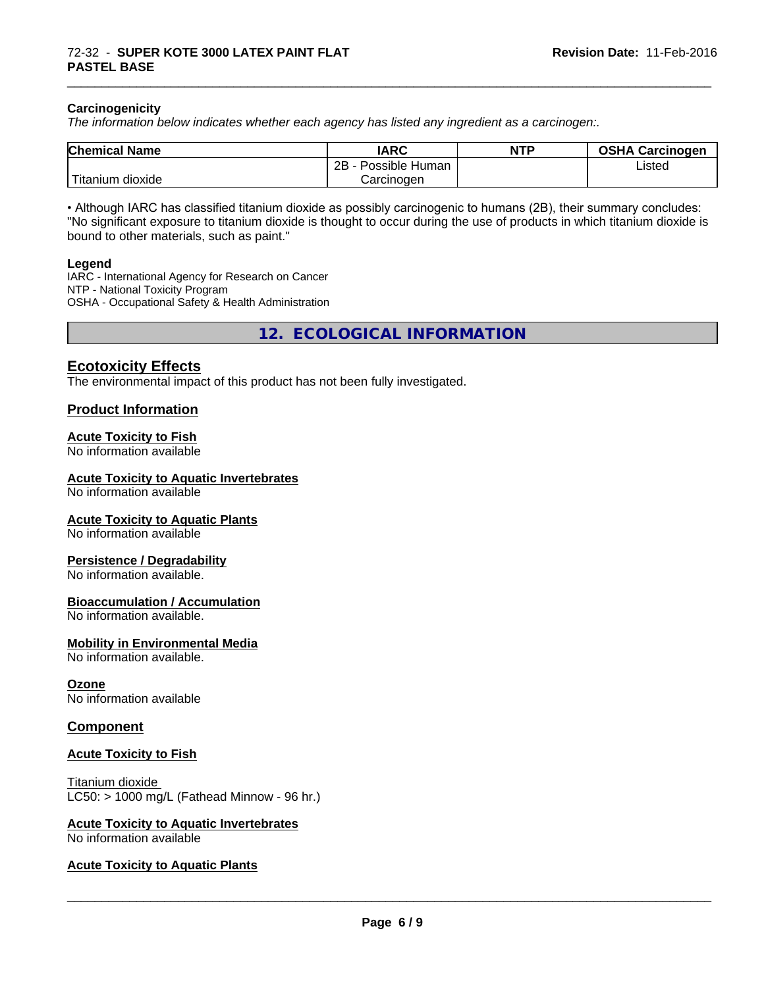#### **Carcinogenicity**

*The information below indicateswhether each agency has listed any ingredient as a carcinogen:.*

| <b>Chemical Name</b>    | <b>IARC</b>          | <b>NTP</b> | <b>OSHA Carcinogen</b> |
|-------------------------|----------------------|------------|------------------------|
|                         | 2B<br>Possible Human |            | Listed                 |
| $-$<br>Titanium dioxide | Carcinogen           |            |                        |

\_\_\_\_\_\_\_\_\_\_\_\_\_\_\_\_\_\_\_\_\_\_\_\_\_\_\_\_\_\_\_\_\_\_\_\_\_\_\_\_\_\_\_\_\_\_\_\_\_\_\_\_\_\_\_\_\_\_\_\_\_\_\_\_\_\_\_\_\_\_\_\_\_\_\_\_\_\_\_\_\_\_\_\_\_\_\_\_\_\_\_\_\_

• Although IARC has classified titanium dioxide as possibly carcinogenic to humans (2B), their summary concludes: "No significant exposure to titanium dioxide is thought to occur during the use of products in which titanium dioxide is bound to other materials, such as paint."

#### **Legend**

IARC - International Agency for Research on Cancer NTP - National Toxicity Program OSHA - Occupational Safety & Health Administration

**12. ECOLOGICAL INFORMATION**

# **Ecotoxicity Effects**

The environmental impact of this product has not been fully investigated.

#### **Product Information**

#### **Acute Toxicity to Fish**

No information available

#### **Acute Toxicity to Aquatic Invertebrates**

No information available

#### **Acute Toxicity to Aquatic Plants**

No information available

#### **Persistence / Degradability**

No information available.

#### **Bioaccumulation / Accumulation**

No information available.

#### **Mobility in Environmental Media**

No information available.

#### **Ozone**

No information available

### **Component**

### **Acute Toxicity to Fish**

Titanium dioxide  $LC50:$  > 1000 mg/L (Fathead Minnow - 96 hr.)

#### **Acute Toxicity to Aquatic Invertebrates**

No information available

#### **Acute Toxicity to Aquatic Plants**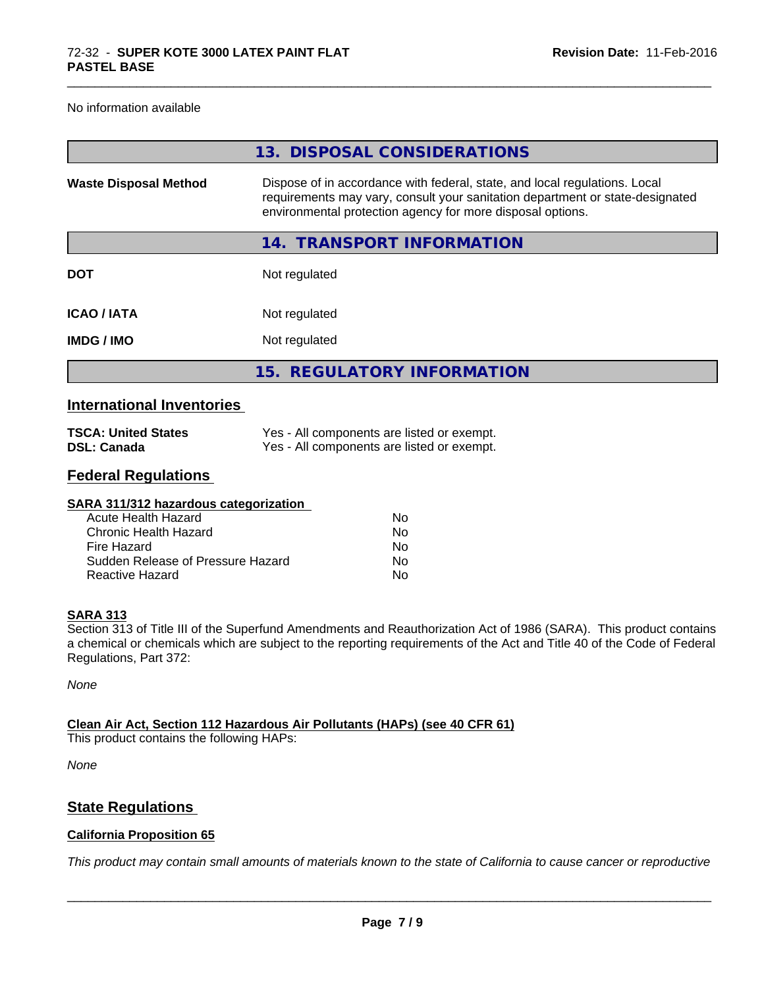No information available

|                              | 13. DISPOSAL CONSIDERATIONS                                                                                                                                                                                               |
|------------------------------|---------------------------------------------------------------------------------------------------------------------------------------------------------------------------------------------------------------------------|
| <b>Waste Disposal Method</b> | Dispose of in accordance with federal, state, and local regulations. Local<br>requirements may vary, consult your sanitation department or state-designated<br>environmental protection agency for more disposal options. |
|                              | 14. TRANSPORT INFORMATION                                                                                                                                                                                                 |
| <b>DOT</b>                   | Not regulated                                                                                                                                                                                                             |
| <b>ICAO / IATA</b>           | Not regulated                                                                                                                                                                                                             |
| <b>IMDG/IMO</b>              | Not regulated                                                                                                                                                                                                             |
|                              | 15. REGULATORY INFORMATION                                                                                                                                                                                                |
|                              |                                                                                                                                                                                                                           |

\_\_\_\_\_\_\_\_\_\_\_\_\_\_\_\_\_\_\_\_\_\_\_\_\_\_\_\_\_\_\_\_\_\_\_\_\_\_\_\_\_\_\_\_\_\_\_\_\_\_\_\_\_\_\_\_\_\_\_\_\_\_\_\_\_\_\_\_\_\_\_\_\_\_\_\_\_\_\_\_\_\_\_\_\_\_\_\_\_\_\_\_\_

# **International Inventories**

| <b>TSCA: United States</b> | Yes - All components are listed or exempt. |
|----------------------------|--------------------------------------------|
| <b>DSL: Canada</b>         | Yes - All components are listed or exempt. |

# **Federal Regulations**

| SARA 311/312 hazardous categorization |    |  |
|---------------------------------------|----|--|
| Acute Health Hazard                   | Nο |  |
| Chronic Health Hazard                 | No |  |
| Fire Hazard                           | Nο |  |
| Sudden Release of Pressure Hazard     | Nο |  |
| Reactive Hazard                       | Nο |  |
|                                       |    |  |

### **SARA 313**

Section 313 of Title III of the Superfund Amendments and Reauthorization Act of 1986 (SARA). This product contains a chemical or chemicals which are subject to the reporting requirements of the Act and Title 40 of the Code of Federal Regulations, Part 372:

*None*

**Clean Air Act,Section 112 Hazardous Air Pollutants (HAPs) (see 40 CFR 61)**

This product contains the following HAPs:

*None*

# **State Regulations**

### **California Proposition 65**

This product may contain small amounts of materials known to the state of California to cause cancer or reproductive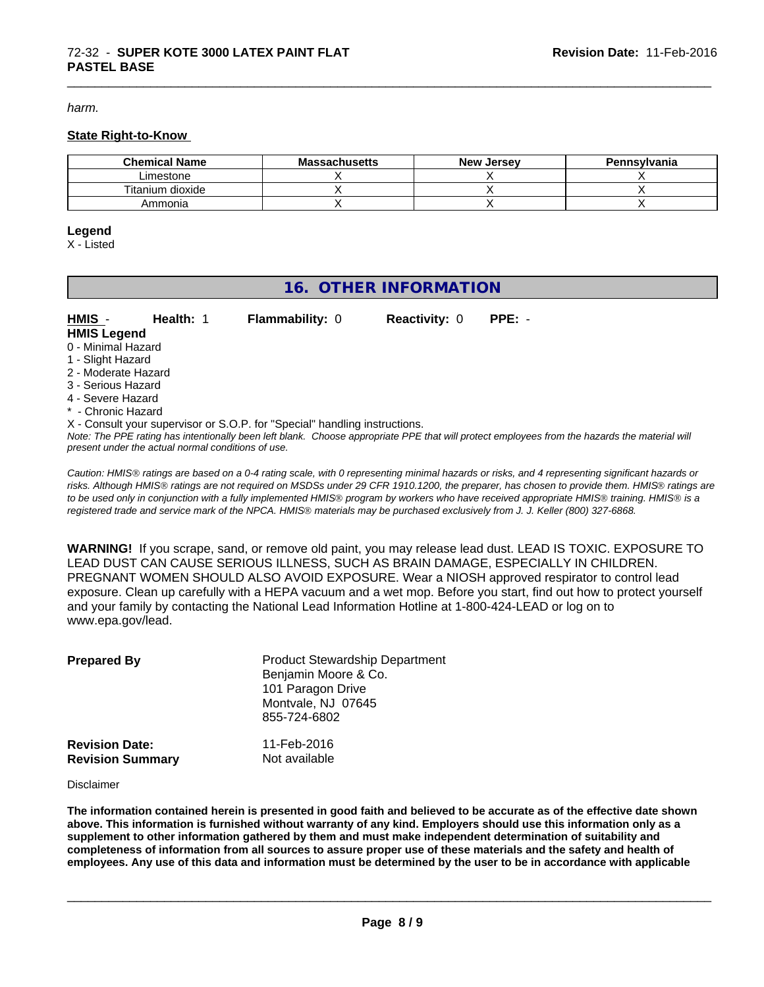*harm.*

#### **State Right-to-Know**

| <b>Chemical Name</b> | <b>Massachusetts</b> | New<br>. Jersev | Pennsylvania |
|----------------------|----------------------|-----------------|--------------|
| _imestone            |                      |                 |              |
| Titanium dioxide     |                      |                 |              |
| Ammonia              |                      |                 |              |

\_\_\_\_\_\_\_\_\_\_\_\_\_\_\_\_\_\_\_\_\_\_\_\_\_\_\_\_\_\_\_\_\_\_\_\_\_\_\_\_\_\_\_\_\_\_\_\_\_\_\_\_\_\_\_\_\_\_\_\_\_\_\_\_\_\_\_\_\_\_\_\_\_\_\_\_\_\_\_\_\_\_\_\_\_\_\_\_\_\_\_\_\_

#### **Legend**

X - Listed

# **16. OTHER INFORMATION**

| HMIS -              | Health: 1 | <b>Flammability: 0</b>                                                     | <b>Reactivity: 0</b> | $PPE: -$ |
|---------------------|-----------|----------------------------------------------------------------------------|----------------------|----------|
| <b>HMIS Legend</b>  |           |                                                                            |                      |          |
| 0 - Minimal Hazard  |           |                                                                            |                      |          |
| 1 - Slight Hazard   |           |                                                                            |                      |          |
| 2 - Moderate Hazard |           |                                                                            |                      |          |
| 3 - Serious Hazard  |           |                                                                            |                      |          |
| 4 - Severe Hazard   |           |                                                                            |                      |          |
| * - Chronic Hazard  |           |                                                                            |                      |          |
|                     |           | X - Consult your supervisor or S.O.P. for "Special" handling instructions. |                      |          |

*Note: The PPE rating has intentionally been left blank. Choose appropriate PPE that will protect employees from the hazards the material will present under the actual normal conditions of use.*

*Caution: HMISÒ ratings are based on a 0-4 rating scale, with 0 representing minimal hazards or risks, and 4 representing significant hazards or risks. Although HMISÒ ratings are not required on MSDSs under 29 CFR 1910.1200, the preparer, has chosen to provide them. HMISÒ ratings are to be used only in conjunction with a fully implemented HMISÒ program by workers who have received appropriate HMISÒ training. HMISÒ is a registered trade and service mark of the NPCA. HMISÒ materials may be purchased exclusively from J. J. Keller (800) 327-6868.*

**WARNING!** If you scrape, sand, or remove old paint, you may release lead dust. LEAD IS TOXIC. EXPOSURE TO LEAD DUST CAN CAUSE SERIOUS ILLNESS, SUCH AS BRAIN DAMAGE, ESPECIALLY IN CHILDREN. PREGNANT WOMEN SHOULD ALSO AVOID EXPOSURE.Wear a NIOSH approved respirator to control lead exposure. Clean up carefully with a HEPA vacuum and a wet mop. Before you start, find out how to protect yourself and your family by contacting the National Lead Information Hotline at 1-800-424-LEAD or log on to www.epa.gov/lead.

| <b>Prepared By</b>                               | <b>Product Stewardship Department</b><br>Benjamin Moore & Co.<br>101 Paragon Drive<br>Montvale, NJ 07645<br>855-724-6802 |  |
|--------------------------------------------------|--------------------------------------------------------------------------------------------------------------------------|--|
| <b>Revision Date:</b><br><b>Revision Summary</b> | 11-Feb-2016<br>Not available                                                                                             |  |

Disclaimer

The information contained herein is presented in good faith and believed to be accurate as of the effective date shown above. This information is furnished without warranty of any kind. Employers should use this information only as a **supplement to other information gathered by them and must make independent determination of suitability and** completeness of information from all sources to assure proper use of these materials and the safety and health of employees. Any use of this data and information must be determined by the user to be in accordance with applicable